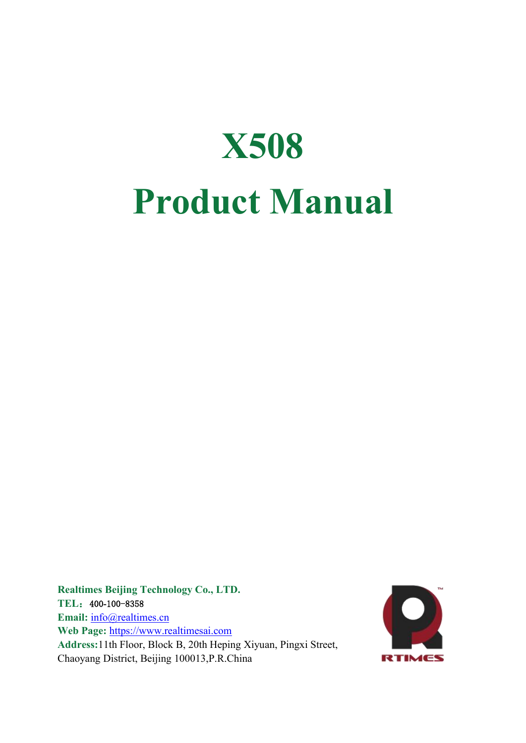

**Realtimes Beijing Technology Co., LTD. TEL**:400**-**100-8358 Email: [info@realtimes.cn](mailto:info@realtimes.cn) **Web Page:** <https://www.realtimesai.com> **Address:**11th Floor, Block B, 20th Heping Xiyuan, Pingxi Street, Chaoyang District, Beijing 100013,P.R.China

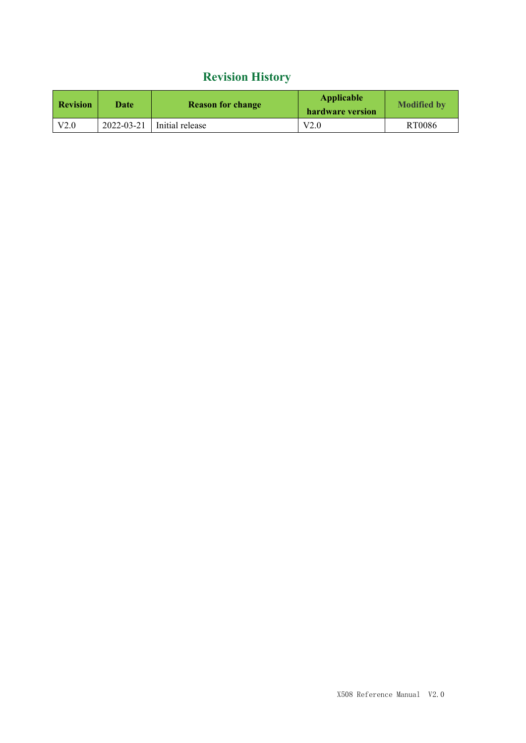## **Revision History**

| <b>Revision</b> | Date       | <b>Reason for change</b> | Applicable<br>hardware version | <b>Modified by</b> |
|-----------------|------------|--------------------------|--------------------------------|--------------------|
| V2.0            | 2022-03-21 | Initial release          | V2.0                           | RT0086             |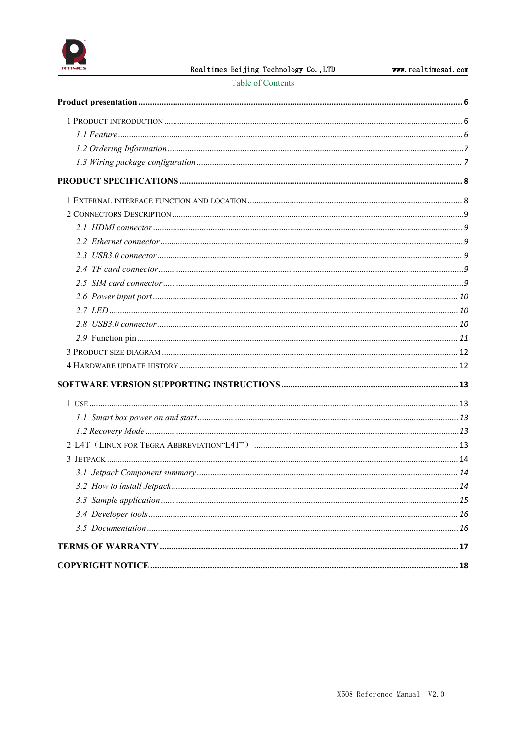

Table of Contents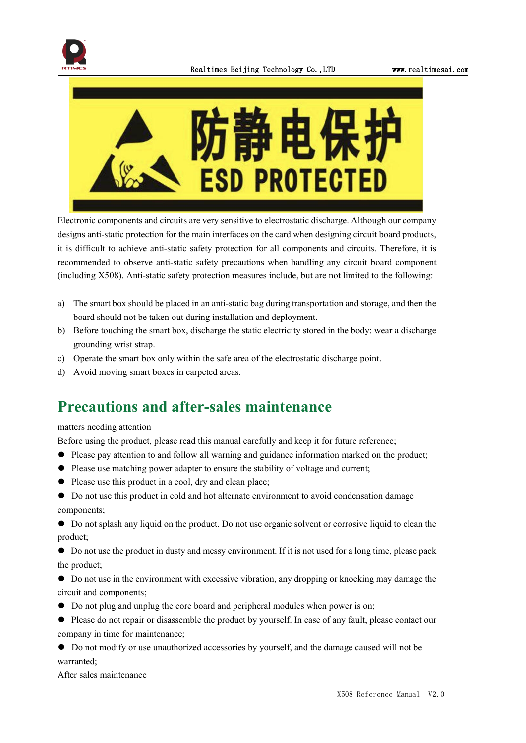



Electronic components and circuits are very sensitive to electrostatic discharge. Although our company designs anti-static protection for the main interfaces on the card when designing circuit board products, it is difficult to achieve anti-static safety protection for all components and circuits. Therefore, it is recommended to observe anti-static safety precautions when handling any circuit board component (including X508). Anti-static safety protection measures include, but are not limited to the following:

- a) The smart box should be placed in an anti-static bag during transportation and storage, and then the board should not be taken out during installation and deployment.
- b) Before touching the smart box, discharge the static electricity stored in the body: wear a discharge grounding wrist strap.
- c) Operate the smart box only within the safe area of the electrostatic discharge point.
- d) Avoid moving smart boxes in carpeted areas.

## **Precautions and after-sales maintenance**

#### matters needing attention

Before using the product, please read this manual carefully and keep it for future reference;

- ⚫ Please pay attention to and follow all warning and guidance information marked on the product;
- ⚫ Please use matching power adapter to ensure the stability of voltage and current;
- ⚫ Please use this product in a cool, dry and clean place;
- ⚫ Do not use this product in cold and hot alternate environment to avoid condensation damage components;

⚫ Do not splash any liquid on the product. Do not use organic solventor corrosive liquid to clean the product;

⚫ Do not use the product in dusty and messy environment. If it is not used for a long time, please pack the product;

⚫ Do not use in the environment with excessive vibration, any dropping or knocking may damage the circuit and components;

- ⚫ Do not plug and unplug the core board and peripheral modules when power is on;
- ⚫ Please do not repair ordisassemble the product by yourself. In case of any fault, please contactour company in time for maintenance;
- ⚫ Do not modify or use unauthorized accessories by yourself, and the damage caused will not be warranted;

After sales maintenance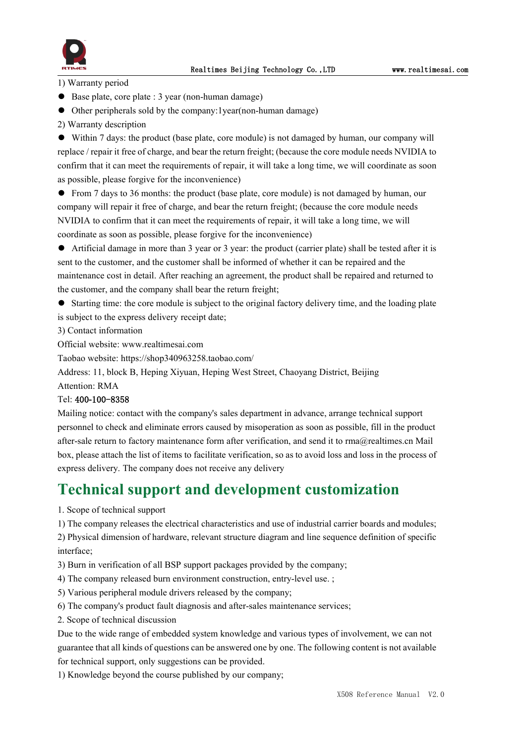



1) Warranty period

- Base plate, core plate : 3 year (non-human damage)
- ⚫ Other peripherals sold by the company:1year(non-human damage)
- 2) Warranty description

⚫ Within 7 days: the product (base plate, core module) is not damaged by human, our company will replace / repair it free of charge, and bear the return freight; (because the core module needs NVIDIA to confirm that it can meet the requirements of repair, it will take a long time, we will coordinate as soon as possible, please forgive for the inconvenience)

⚫ From 7 daysto 36 months: the product (base plate, core module) is not damaged by human, our company will repair it free of charge, and bear the return freight; (because the core module needs NVIDIA to confirm that it can meet the requirements of repair, it will take a long time, we will coordinate as soon as possible, please forgive for the inconvenience)

⚫ Artificial damage in more than 3 year or 3 year: the product (carrier plate) shall be tested after it is sent to the customer, and the customer shall be informed of whether it can be repaired and the maintenance cost in detail. After reaching an agreement, the product shall be repaired and returned to the customer, and the company shall bear the return freight;

● Starting time: the core module is subject to the original factory delivery time, and the loading plate is subject to the express delivery receipt date;

3) Contact information

Official website: www.realtimesai.com

Taobao website: https://shop340963258.taobao.com/

Address: 11, block B, Heping Xiyuan, Heping West Street, Chaoyang District, Beijing

## Attention: RMA

#### Tel: 400**-**100-8358

Mailing notice: contact with the company's sales department in advance, arrange technical support personnel to check and eliminate errors caused by misoperation as soon as possible, fill in the product after-sale return to factory maintenance form after verification, and send it to rma@realtimes.cn Mail box, please attach the list of items to facilitate verification, so as to avoid loss and loss in the process of express delivery. The company does not receive any delivery

## **Technical support and development customization**

1. Scope of technical support

1) The company releases the electrical characteristics and use of industrial carrier boards and modules;

2) Physical dimension of hardware, relevant structure diagram and line sequence definition of specific interface;

- 3) Burn in verification of all BSP support packages provided by the company;
- 4) The company released burn environment construction, entry-level use. ;
- 5) Various peripheral module drivers released by the company;
- 6) The company's product fault diagnosis and after-sales maintenance services;
- 2. Scope of technical discussion

Due to the wide range of embedded system knowledge and various types ofinvolvement, we can not guarantee that all kinds of questions can be answered one by one.The following content is not available for technical support, only suggestions can be provided.

1) Knowledge beyond the course published by our company;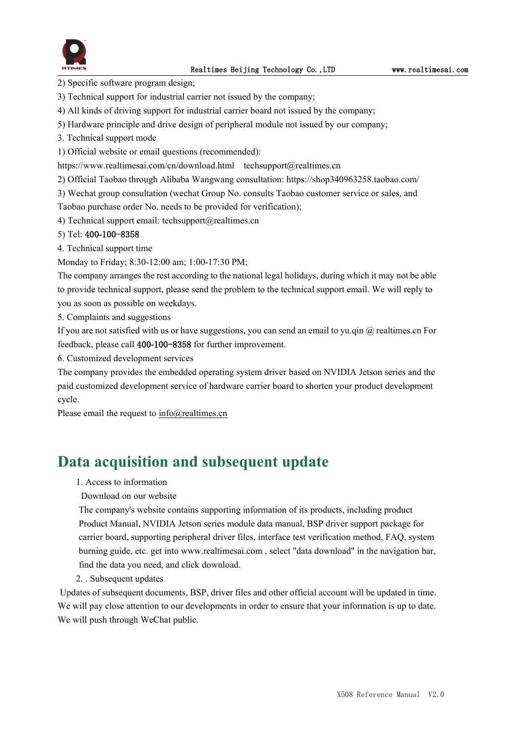

2) Specific software program design;

- 3) Technical support for industrial carrier not issued by the company;
- 4) All kinds of driving support for industrial carrier board not issued by the company;
- 5) Hardware principle and drive design of peripheral module not issued by our company;
- 3. Technical support mode
- 1) Official website or email questions (recommended):

https://www.realtimesai.com/cn/download.html techsupport@realtimes.cn

2) Official Taobao through Alibaba Wangwang consultation: https://shop340963258.taobao.com/

3) Wechat group consultation (wechat Group No. consults Taobao customer service or sales, and

Taobao purchase order No. needs to be provided for verification);

4) Technical support email: techsupport@realtimes.cn

#### 5) Tel: 400**-**100-8358

4. Technical support time

Monday to Friday; 8:30-12:00 am; 1:00-17:30 PM;

The company arranges the rest according to the national legal holidays, during which it may notbe able to provide technical support, please send the problem to the technical support email. We will reply to you as soon as possible on weekdays.

5. Complaints and suggestions

If you are not satisfied with us or have suggestions, you can send an email to yu.qin  $\omega$  realtimes.cn For feedback, please call 400**-**100-8358 for further improvement.

6. Customized development services

The company provides the embedded operating system driver based on NVIDIA Jetson series and the paid customized development service of hardware carrier board to shorten your product development cycle.

Please email the request to [info@realtimes.cn](mailto:info@realtimes.cn)

## **Data acquisition and subsequent update**

1. Access to information

#### Download on our website

The company's website contains supporting information of its products, including product Product Manual, NVIDIA Jetson series module data manual, BSP driver support package for carrier board, supporting peripheral driver files, interface test verification method, FAQ, system burning guide, etc. get into www.realtimesai.com , select "data download" in the navigation bar, find the data you need, and click download.

2. . Subsequent updates

Updates of subsequent documents, BSP, driver files and other official account will be updated in time. We will pay close attention to our developments in order to ensure that your information is up to date. We will push through WeChat public.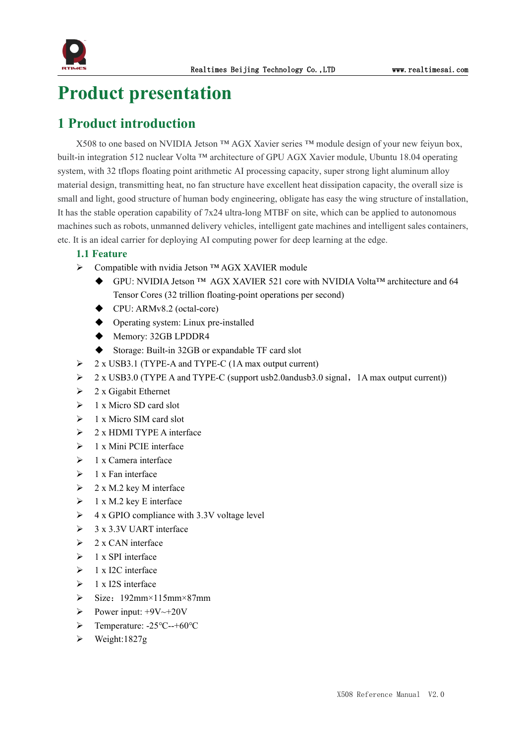

# <span id="page-6-0"></span>**Product presentation**

## <span id="page-6-1"></span>**1 Product introduction**

X508 to one based on NVIDIA Jetson ™ AGX Xavier series ™ module design of yournew feiyun box, built-in integration 512 nuclear Volta ™ architecture of GPU AGX Xavier module, Ubuntu 18.04 operating system, with 32 tflops floating point arithmetic AI processing capacity, super strong light aluminum alloy material design, transmitting heat, no fan structure have excellent heat dissipation capacity, the overall size is small and light, good structure of human body engineering, obligate has easy the wing structure of installation, It has the stable operation capability of 7x24 ultra-long MTBF on site, which can be applied to autonomous machines such as robots, unmanned delivery vehicles, intelligent gate machines and intelligent sales containers, etc. It is an ideal carrier for deploying AI computing power for deep learning at the edge.

### <span id="page-6-2"></span>**1.1 Feature**

- Compatible with nvidia Jetson ™ AGX XAVIER module
	- GPU: NVIDIA Jetson ™ AGX XAVIER 521 core with NVIDIA Volta™ architecture and 64 Tensor Cores (32 trillion floating-point operations per second)
	- ◆ CPU: ARMv8.2 (octal-core)
	- ◆ Operating system: Linux pre-installed
	- ◆ Memory: 32GB LPDDR4
	- ◆ Storage: Built-in 32GB or expandable TF card slot
- $\geq$  2 x USB3.1 (TYPE-A and TYPE-C (1A max output current)
- > 2 x USB3.0 (TYPE A and TYPE-C (support usb2.0andusb3.0 signal, 1A max output current))
- $\geq 2$  x Gigabit Ethernet
- $\geq 1$  x Micro SD card slot
- $\geq 1$  x Micro SIM card slot
- $\geq 2$  x HDMI TYPE A interface
- $\geq 1$  x Mini PCIE interface
- $\geq 1$  x Camera interface
- $\geq 1$  x Fan interface
- $\geq 2 \times M.2$  key M interface
- $\geq 1$  x M.2 key E interface
- $\triangleright$  4 x GPIO compliance with 3.3V voltage level
- $\geq$  3 x 3.3V UART interface
- $\geq 2$  x CAN interface
- $\geq 1$  x SPI interface
- $\geq 1$  x I2C interface
- $\geq 1$  x I2S interface
- $\triangleright$  Size: 192mm×115mm×87mm
- Power input:  $+9V \rightarrow +20V$
- Temperature: -25℃--+60℃
- $\triangleright$  Weight:1827g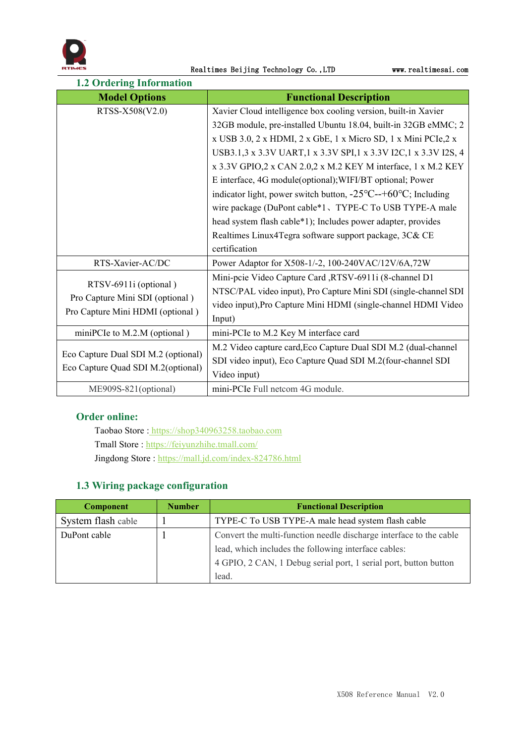

<span id="page-7-0"></span>

| <b>1.2 Ordering Information</b>                          |                                                                                    |
|----------------------------------------------------------|------------------------------------------------------------------------------------|
| <b>Model Options</b>                                     | <b>Functional Description</b>                                                      |
| RTSS-X508(V2.0)                                          | Xavier Cloud intelligence box cooling version, built-in Xavier                     |
|                                                          | 32GB module, pre-installed Ubuntu 18.04, built-in 32GB eMMC; 2                     |
|                                                          | x USB 3.0, 2 x HDMI, 2 x GbE, 1 x Micro SD, 1 x Mini PCIe, 2 x                     |
|                                                          | USB3.1,3 x 3.3V UART,1 x 3.3V SPI,1 x 3.3V I2C,1 x 3.3V I2S, 4                     |
|                                                          | x 3.3V GPIO, 2 x CAN 2.0, 2 x M.2 KEY M interface, 1 x M.2 KEY                     |
|                                                          | E interface, 4G module(optional); WIFI/BT optional; Power                          |
|                                                          | indicator light, power switch button, $-25^{\circ}C$ --+60 $^{\circ}C$ ; Including |
|                                                          | wire package (DuPont cable*1、TYPE-C To USB TYPE-A male                             |
|                                                          | head system flash cable*1); Includes power adapter, provides                       |
|                                                          | Realtimes Linux4Tegra software support package, 3C& CE                             |
|                                                          | certification                                                                      |
| RTS-Xavier-AC/DC                                         | Power Adaptor for X508-1/-2, 100-240VAC/12V/6A,72W                                 |
|                                                          | Mini-pcie Video Capture Card ,RTSV-6911i (8-channel D1                             |
| RTSV-6911i (optional)<br>Pro Capture Mini SDI (optional) | NTSC/PAL video input), Pro Capture Mini SDI (single-channel SDI                    |
| Pro Capture Mini HDMI (optional)                         | video input), Pro Capture Mini HDMI (single-channel HDMI Video                     |
|                                                          | Input)                                                                             |
| miniPCIe to M.2.M (optional)                             | mini-PCIe to M.2 Key M interface card                                              |
|                                                          | M.2 Video capture card, Eco Capture Dual SDI M.2 (dual-channel                     |
| Eco Capture Dual SDI M.2 (optional)                      | SDI video input), Eco Capture Quad SDI M.2(four-channel SDI                        |
| Eco Capture Quad SDI M.2(optional)                       | Video input)                                                                       |
| ME909S-821(optional)                                     | mini-PCIe Full netcom 4G module.                                                   |

### **Order online:**

Taobao Store : <https://shop340963258.taobao.com> Tmall Store : <https://feiyunzhihe.tmall.com/> Jingdong Store : <https://mall.jd.com/index-824786.html>

## <span id="page-7-1"></span>**1.3 Wiring package configuration**

| <b>Component</b>   | <b>Number</b> | <b>Functional Description</b>                                      |  |
|--------------------|---------------|--------------------------------------------------------------------|--|
| System flash cable |               | TYPE-C To USB TYPE-A male head system flash cable                  |  |
| DuPont cable       |               | Convert the multi-function needle discharge interface to the cable |  |
|                    |               | lead, which includes the following interface cables:               |  |
|                    |               | 4 GPIO, 2 CAN, 1 Debug serial port, 1 serial port, button button   |  |
|                    |               | lead.                                                              |  |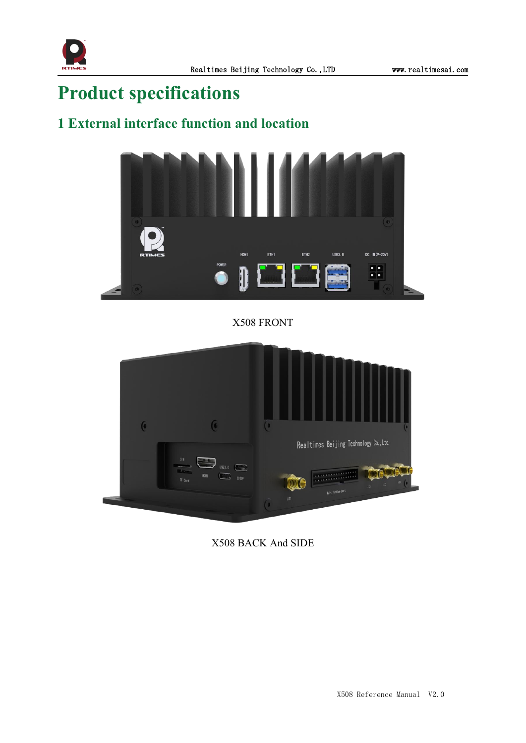

# <span id="page-8-0"></span>**Product specifications**

## <span id="page-8-1"></span>**1 External interface function and location**



X508 FRONT



X508 BACK And SIDE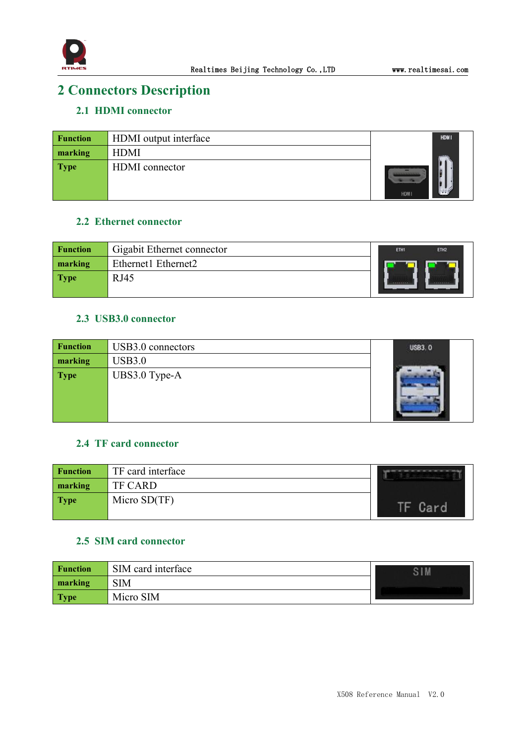

## <span id="page-9-0"></span>**2 Connectors Description**

## <span id="page-9-1"></span>**2.1 HDMI connector**

| <b>Function</b> | HDMI output interface | <b>HDMI</b> |
|-----------------|-----------------------|-------------|
| marking         | <b>HDMI</b>           |             |
| <b>Type</b>     | HDMI connector        | <b>HDMI</b> |

### <span id="page-9-2"></span>**2.2 Ethernet connector**

| <b>Function</b> | Gigabit Ethernet connector | ETH1 | ETH <sub>2</sub> |
|-----------------|----------------------------|------|------------------|
| marking         | Ethernet1 Ethernet2        |      |                  |
| <b>Type</b>     | <b>RJ45</b>                |      |                  |
|                 |                            |      |                  |

## <span id="page-9-3"></span>**2.3 USB3.0 connector**

| <b>Function</b> | USB3.0 connectors | <b>USB3.0</b> |
|-----------------|-------------------|---------------|
| marking         | <b>USB3.0</b>     |               |
| <b>Type</b>     | UBS3.0 Type-A     |               |

### <span id="page-9-4"></span>**2.4 TF card connector**

| <b>Function</b> | TF card interface |  |
|-----------------|-------------------|--|
| marking         | TF CARD           |  |
| Type            | Micro $SD(TF)$    |  |

### <span id="page-9-5"></span>**2.5 SIM card connector**

| <b>Function</b> | SIM card interface |  |
|-----------------|--------------------|--|
| marking         | <b>SIM</b>         |  |
| Type            | Micro SIM          |  |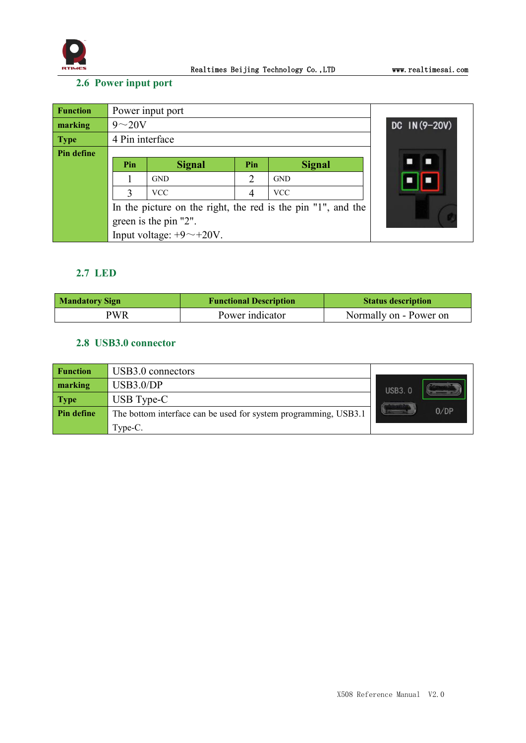

## <span id="page-10-0"></span>**2.6 Power input port**

| <b>Function</b> | Power input port                                             |                             |                |               |               |
|-----------------|--------------------------------------------------------------|-----------------------------|----------------|---------------|---------------|
| marking         | $9\sim20V$                                                   |                             |                |               | DC IN (9-20V) |
| <b>Type</b>     | 4 Pin interface                                              |                             |                |               |               |
| Pin define      |                                                              |                             |                |               |               |
|                 | Pin                                                          | <b>Signal</b>               | Pin            | <b>Signal</b> |               |
|                 |                                                              | <b>GND</b>                  | $\overline{2}$ | <b>GND</b>    |               |
|                 | 3                                                            | <b>VCC</b>                  |                | <b>VCC</b>    |               |
|                 | In the picture on the right, the red is the pin "1", and the |                             |                |               |               |
|                 | green is the pin "2".                                        |                             |                |               |               |
|                 |                                                              | Input voltage: $+9$ ~ +20V. |                |               |               |

## <span id="page-10-1"></span>**2.7 LED**

| Mandatory Sign | <b>Functional Description</b> | <b>Status description</b> |
|----------------|-------------------------------|---------------------------|
| PWR            | Power indicator               | Normally on - Power on    |

### <span id="page-10-2"></span>**2.8 USB3.0 connector**

| <b>Function</b> | USB3.0 connectors                                               |               |
|-----------------|-----------------------------------------------------------------|---------------|
| marking         | USB3.0/DP                                                       | <b>USB3.0</b> |
| <b>Type</b>     | USB Type-C                                                      |               |
| Pin define      | The bottom interface can be used for system programming, USB3.1 | 0/DP          |
|                 | Type-C.                                                         |               |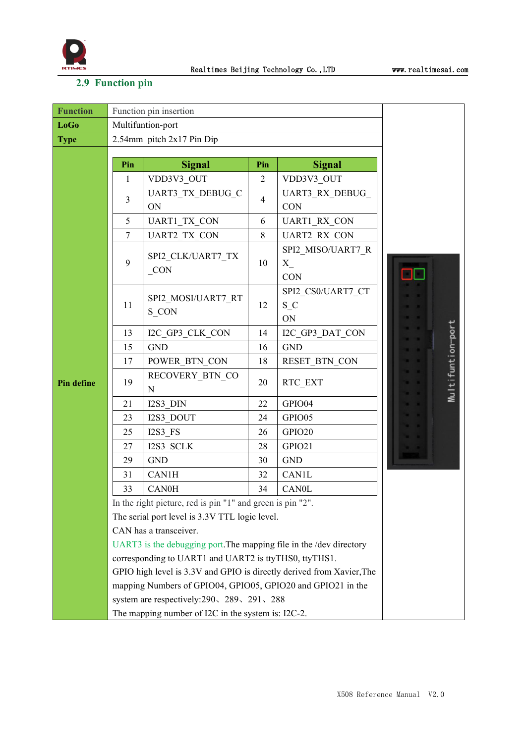

## <span id="page-11-0"></span>**2.9 Function pin**

| <b>Function</b>   | Function pin insertion                                                |                                                            |                |                                             |                   |  |
|-------------------|-----------------------------------------------------------------------|------------------------------------------------------------|----------------|---------------------------------------------|-------------------|--|
| <b>LoGo</b>       | Multifuntion-port                                                     |                                                            |                |                                             |                   |  |
| <b>Type</b>       | 2.54mm pitch 2x17 Pin Dip                                             |                                                            |                |                                             |                   |  |
|                   | Pin                                                                   | <b>Signal</b>                                              | Pin            | <b>Signal</b>                               |                   |  |
|                   | $\mathbf{1}$                                                          | VDD3V3 OUT                                                 | $\overline{2}$ | VDD3V3_OUT                                  |                   |  |
|                   | 3                                                                     | UART3_TX_DEBUG_C<br>ON                                     | $\overline{4}$ | UART3 RX DEBUG<br><b>CON</b>                |                   |  |
|                   | 5                                                                     | <b>UART1 TX CON</b>                                        | 6              | <b>UART1 RX CON</b>                         |                   |  |
|                   | 7                                                                     | <b>UART2 TX CON</b>                                        | 8              | <b>UART2 RX CON</b>                         |                   |  |
|                   | 9                                                                     | SPI2 CLK/UART7 TX<br>$_{CON}$                              | 10             | SPI2 MISO/UART7_R<br>$X_{\_}$<br><b>CON</b> |                   |  |
|                   | 11                                                                    | SPI2 MOSI/UART7 RT<br>S CON                                | 12             | SPI2 CS0/UART7 CT<br>$S_C$<br>ON            |                   |  |
|                   | 13                                                                    | I2C GP3 CLK CON                                            | 14             | I2C GP3 DAT CON                             |                   |  |
|                   | 15                                                                    | <b>GND</b>                                                 | 16             | <b>GND</b>                                  |                   |  |
|                   | 17                                                                    | POWER BTN CON                                              | 18             | RESET_BTN_CON                               |                   |  |
| <b>Pin define</b> | 19                                                                    | RECOVERY BTN CO<br>N                                       | 20             | RTC EXT                                     | Multifuntion-port |  |
|                   | 21                                                                    | I2S3 DIN                                                   | 22             | GPIO04                                      |                   |  |
|                   | 23                                                                    | I2S3 DOUT                                                  | 24             | GPIO05                                      |                   |  |
|                   | 25                                                                    | I2S3 FS                                                    | 26             | GPIO20                                      |                   |  |
|                   | 27                                                                    | I2S3 SCLK                                                  | 28             | GPIO21                                      |                   |  |
|                   | 29                                                                    | <b>GND</b>                                                 | 30             | <b>GND</b>                                  |                   |  |
|                   | 31                                                                    | <b>CAN1H</b>                                               | 32             | <b>CAN1L</b>                                |                   |  |
|                   | 33                                                                    | CAN0H                                                      | 34             | <b>CAN0L</b>                                |                   |  |
|                   |                                                                       | In the right picture, red is pin "1" and green is pin "2". |                |                                             |                   |  |
|                   | The serial port level is 3.3V TTL logic level.                        |                                                            |                |                                             |                   |  |
|                   | CAN has a transceiver.                                                |                                                            |                |                                             |                   |  |
|                   | UART3 is the debugging port. The mapping file in the /dev directory   |                                                            |                |                                             |                   |  |
|                   | corresponding to UART1 and UART2 is ttyTHS0, ttyTHS1.                 |                                                            |                |                                             |                   |  |
|                   | GPIO high level is 3.3V and GPIO is directly derived from Xavier, The |                                                            |                |                                             |                   |  |
|                   | mapping Numbers of GPIO04, GPIO05, GPIO20 and GPIO21 in the           |                                                            |                |                                             |                   |  |
|                   | system are respectively: 290, 289, 291, 288                           |                                                            |                |                                             |                   |  |
|                   | The mapping number of I2C in the system is: I2C-2.                    |                                                            |                |                                             |                   |  |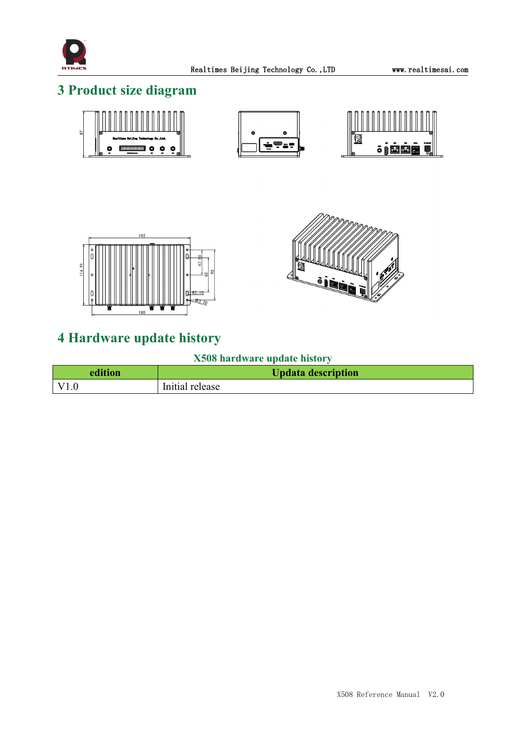

## <span id="page-12-0"></span>**3 Product size diagram**







## <span id="page-12-1"></span>**4 Hardware update history**

## **X508 hardware update history**

| edition | <b>Updata description</b> |
|---------|---------------------------|
|         | Initial release           |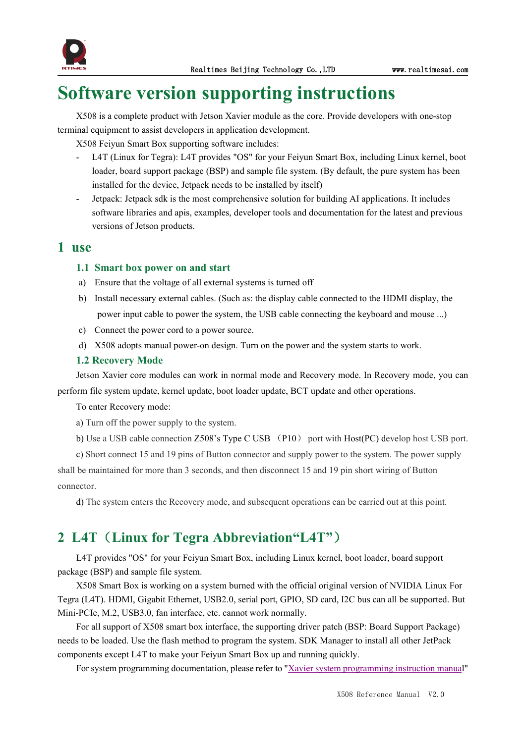

# <span id="page-13-0"></span>**Software version supporting instructions**

X508 is a complete product with Jetson Xavier module asthe core. Provide developers with one-stop terminal equipment to assist developers in application development.

X508 Feiyun Smart Box supporting software includes:

- L4T (Linux for Tegra): L4T provides "OS" for your Feiyun Smart Box, including Linux kernel, boot loader, board support package (BSP) and sample file system. (By default, the pure system has been installed for the device, Jetpack needs to be installed by itself)
- Jetpack: Jetpack sdk is the most comprehensive solution for building AI applications. It includes software libraries and apis, examples, developer tools and documentation for the latest and previous versions of Jetson products.

## <span id="page-13-1"></span>**1 use**

#### <span id="page-13-2"></span>**1.1 Smartbox power on and start**

- a) Ensure that the voltage of all external systems is turned off
- b) Install necessary external cables. (Such as: the display cable connected to the HDMI display, the power input cable to power the system, the USB cable connecting the keyboard and mouse ...)
- c) Connect the power cord to a power source.
- d) X508 adopts manual power-on design. Turn on the power and the system starts to work.

#### <span id="page-13-3"></span>**1.2 Recovery Mode**

Jetson Xavier core modules can work in normal mode and Recovery mode. In Recovery mode, you can perform file system update, kernel update, boot loader update, BCT update and other operations.

#### To enter Recovery mode:

a) Turn off the power supply to the system.<br>b) Use a USB cable connection Z508's Type C USB (P10) port with Host(PC) develop host USB port.

c) Short connect 15 and 19 pins of Button connector and supply power to the system.The power supply shall be maintained for more than 3 seconds, and then disconnect 15 and 19 pin short wiring of Button connector.

d) The system enters the Recovery mode, and subsequent operations can be carried out at this point.

## <span id="page-13-4"></span>**2 L4T**(**Linux for Tegra Abbreviation"L4T"**)

L4T provides "OS" foryour Feiyun Smart Box, including Linux kernel, boot loader, board support package (BSP) and sample file system.

X508 Smart Box is working on a system burned with the officialoriginal version of NVIDIA Linux For Tegra (L4T). HDMI, Gigabit Ethernet, USB2.0, serial port, GPIO, SD card, I2C bus can all be supported. But Mini-PCIe, M.2, USB3.0, fan interface, etc. cannot work normally.

For all support of X508 smart box interface, the supporting driver patch (BSP: Board Support Package) needs to be loaded. Use the flash method to program the system. SDK Manager to install all other JetPack components except L4T to make your Feiyun Smart Box up and running quickly.

For system [programming](http://yun.realtimes.cn/) documentation, please refer to "Xavier system programming instruction manual"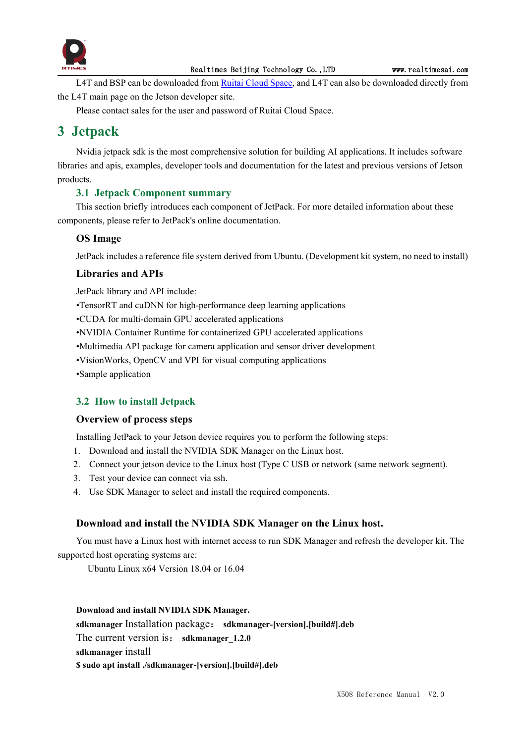

L4T and BSP can be downloaded from Ruitai [Cloud](yun.realtimes.cn) Space, and L4T can also be downloaded directly from the L4T main page on the Jetson developer site.

Please contact sales for the user and password of Ruitai Cloud Space.

## <span id="page-14-0"></span>**3 Jetpack**

Nvidia jetpack sdk is the most comprehensive solution for building AI applications. It includes software libraries and apis, examples, developer tools and documentation for the latest and previous versions of Jetson products.

### <span id="page-14-1"></span>**3.1 Jetpack Component summary**

This section briefly introduces each component of JetPack. For more detailed information about these components, please refer to JetPack's online documentation.

### **OS Image**

JetPack includes a reference file system derived from Ubuntu. (Development kit system, no need to install)

### **Libraries and APIs**

JetPack library and API include:

•TensorRT and cuDNN for high-performance deep learning applications

•CUDA for multi-domain GPU accelerated applications

•NVIDIA Container Runtime for containerized GPU accelerated applications

•Multimedia API package for camera application and sensor driver development

•VisionWorks, OpenCV and VPI for visual computing applications

•Sample application

#### <span id="page-14-2"></span>**3.2 How to install Jetpack**

#### **Overview of process steps**

Installing JetPack to your Jetson device requires you to perform the following steps:

- 1. Download and install the NVIDIA SDK Manager on the Linux host.
- 2. Connect your jetson device to the Linux host (Type C USB or network (same network segment).
- 3. Test your device can connect via ssh.
- 4. Use SDK Manager to select and install the required components.

#### **Download and install the NVIDIA SDK Manager on the Linux host.**

You must have a Linux host with internet access to run SDK Manager and refresh the developer kit.The supported host operating systems are:

Ubuntu Linux x64 Version 18.04 or 16.04

## **Download and install NVIDIA SDK Manager.**

**sdkmanager** Installation package: **sdkmanager-[version].[build#].deb**

The current version is: **sdkmanager** 1.2.0

**sdkmanager** install

**\$ sudo apt install ./sdkmanager-[version].[build#].deb**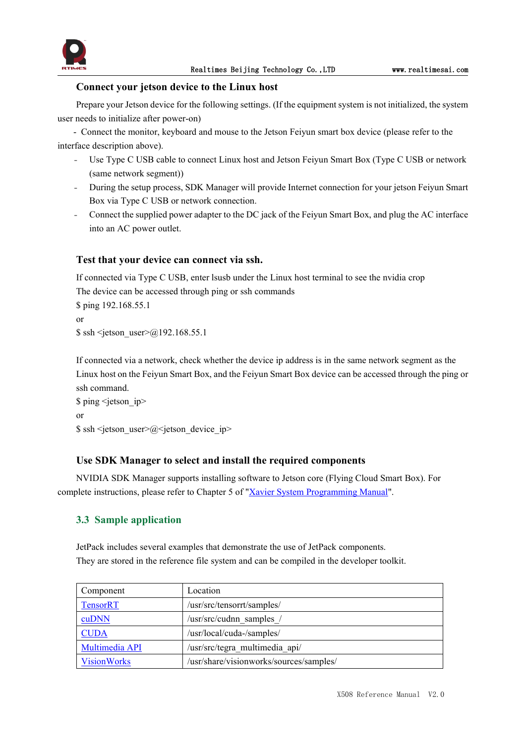

#### **Connect your jetson device to the Linux host**

Prepare your Jetson device for the following settings. (If the equipment system is not initialized, the system user needs to initialize after power-on)

- Connect the monitor, keyboard and mouse to the Jetson Feiyun smart box device (please refer to the interface description above).

- Use Type C USB cable to connect Linux host and Jetson Feiyun Smart Box (Type C USB or network (same network segment))
- During the setup process, SDK Manager will provide Internet connection for your jetson Feiyun Smart Box via Type C USB or network connection.
- Connect the supplied power adapter to the DC jack of the Feiyun Smart Box, and plug the AC interface into an AC power outlet.

#### **Test that your device can connect via ssh.**

If connected via Type C USB, enter lsusb under the Linux host terminal to see the nvidia crop The device can be accessed through ping or ssh commands \$ ping 192.168.55.1

or  $\$  ssh <ietson user> $@192.168.55.1$ 

If connected via a network, check whether the device ip address is in the same network segment as the Linux host on the Feiyun Smart Box, and the Feiyun Smart Box device can be accessed through the ping or ssh command.

\$ ping <jetson\_ip> or

 $$ sh *jetson* user  $\gtrsim @ *jetson* device ip$$ 

#### **Use SDK Manager to select and install the required components**

NVIDIA SDK Manager supports installing software to Jetson core (Flying Cloud Smart Box). For complete instructions, please referto Chapter 5 of "Xavier System [Programming](http://yun.realtimes.cn/) Manual".

#### <span id="page-15-0"></span>**3.3 Sample application**

JetPack includes several examples that demonstrate the use of JetPack components. They are stored in the reference file system and can be compiled in the developer toolkit.

| Component          | Location                                |
|--------------------|-----------------------------------------|
| <b>TensorRT</b>    | /usr/src/tensorrt/samples/              |
| cuDNN              | /usr/src/cudnn samples /                |
| <b>CUDA</b>        | /usr/local/cuda-/samples/               |
| Multimedia API     | /usr/src/tegra multimedia api/          |
| <b>VisionWorks</b> | /usr/share/visionworks/sources/samples/ |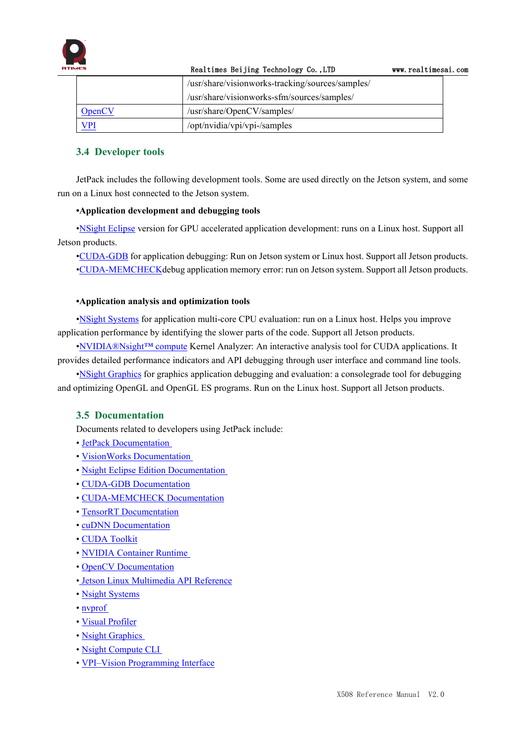

|               | Realtimes Beijing Technology Co., LTD            | www.realtimesai.com |  |
|---------------|--------------------------------------------------|---------------------|--|
|               | /usr/share/visionworks-tracking/sources/samples/ |                     |  |
|               | /usr/share/visionworks-sfm/sources/samples/      |                     |  |
| <u>OpenCV</u> | /usr/share/OpenCV/samples/                       |                     |  |
| <u>VPI</u>    | /opt/nvidia/vpi/vpi-/samples                     |                     |  |

### <span id="page-16-0"></span>**3.4 Developer tools**

JetPack includes the following development tools. Some are used directly on the Jetson system, and some run on a Linux host connected to the Jetson system.

#### **•Application development and debugging tools**

•NSight [Eclipse](https://developer.nvidia.com/nsight-eclipse-edition) version for GPU accelerated application development: runs on a Linux host. Support all Jetson products.

•[CUDA-GDB](https://developer.nvidia.com/cuda-gdb) for application debugging: Run on Jetson system or Linux host. Support all Jetson products. •[CUDA-MEMCHECKd](https://developer.nvidia.com/CUDA-MEMCHECK)ebug application memory error: run on Jetson system. Support all Jetson products.

#### **•Application analysis and optimization tools**

•NSight [Systems](https://developer.nvidia.com/nsight-systems) for application multi-core CPU evaluation: run on a Linux host. Helps you improve application performance by identifying the slower parts of the code. Support all Jetson products.

•[NVIDIA®Nsight™](https://developer.nvidia.com/nsight-compute) compute Kernel Analyzer: An interactive analysis tool for CUDA applications. It provides detailed performance indicators and API debugging through user interface and command line tools.

•NSight [Graphics](https://developer.nvidia.com/nsight-graphics) for graphics application debugging and evaluation: a consolegrade tool for debugging and optimizing OpenGL and OpenGL ES programs. Run on the Linux host. Support all Jetson products.

### <span id="page-16-1"></span>**3.5 Documentation**

Documents related to developers using JetPack include:

- JetPack [Documentation](https://docs.nvidia.com/jetson/jetpack/index.html)
- VisionWorks [Documentation](https://developer.nvidia.com/embedded/visionworks)
- Nsight Eclipse Edition [Documentation](https://docs.nvidia.com/cuda/nsight-eclipse-edition-getting-started-guide/index.html)
- CUDA-GDB [Documentation](http://docs.nvidia.com/cuda/cuda-gdb/index.html)
- [CUDA-MEMCHECK](http://docs.nvidia.com/cuda/cuda-memcheck/index.html) Documentation
- TensorRT [Documentation](https://docs.nvidia.com/deeplearning/sdk/tensorrt-developer-guide/index.html)
- cuDNN [Documentation](https://docs.nvidia.com/deeplearning/sdk/cudnn-developer-guide/index.html)
- CUDA [Toolkit](https://docs.nvidia.com/cuda/index.html)
- NVIDIA [Container](https://www.google.com/url?q=https://github.com/NVIDIA/nvidia-docker/wiki%23platform-support&sa=D&ust=1562106101392000&usg=AFQjCNG6YZBlyXRWjcpGIYF8fkBkYt9RsA) Runtime
- OpenCV [Documentation](https://developer.nvidia.com/opencv)
- Jetson Linux [Multimedia](https://docs.nvidia.com/jetson/l4t-multimedia/index.html) API Reference
- Nsight [Systems](https://docs.nvidia.com/nsight-systems/index.html)
- [nvprof](https://docs.nvidia.com/cuda/profiler-users-guide/index.html)
- Visual [Profiler](http://docs.nvidia.com/cuda/profiler-users-guide/index.html)
- Nsight [Graphics](https://docs.nvidia.com/nsight-graphics/index.html)
- Nsight [Compute](https://docs.nvidia.com/nsight-compute/NsightComputeCli/index.html) CLI
- VPI–Vision [Programming](https://docs.nvidia.com/vpi/index.html) Interface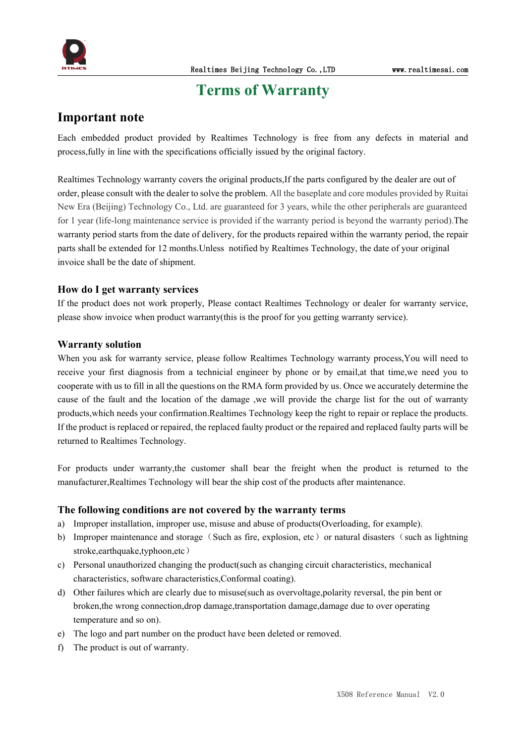

## <span id="page-17-0"></span>**Terms** of Warranty

## **Important note**

Each embedded product provided by Realtimes Technology is free from any defects in material and process,fully in line with the specifications officially issued by the original factory.

Realtimes Technology warranty covers the original products,If the parts configured by the dealer are out of order, please consultwith the dealer to solve the problem. All the baseplate and core modules provided by Ruitai New Era (Beijing) Technology Co., Ltd. are guaranteed for 3 years, while the other peripherals are guaranteed for 1 year (life-long maintenance service is provided if the warranty period is beyond the warranty period).The warranty period starts from the date of delivery, for the products repaired within the warranty period, the repair parts shall be extended for 12 months. Unless notified by Realtimes Technology, the date of your original invoice shall be the date of shipment.

#### **How do I get warranty services**

If the product does not work properly, Please contact Realtimes Technology or dealer for warranty service, please show invoice when product warranty(this is the proof for you getting warranty service).

#### **Warranty solution**

When you ask for warranty service, please follow Realtimes Technology warranty process,You will need to receive your first diagnosis from a technicial engineer by phone or by email,at that time,we need you to cooperate with us to fill in all the questions on the RMA form provided by us. Once we accurately determine the cause of the fault and the location of the damage ,we will provide the charge list for the out of warranty products,which needs your confirmation.Realtimes Technology keep the right to repair or replace the products. If the product is replaced or repaired, the replaced faulty product or the repaired and replaced faulty parts will be returned to Realtimes Technology.

For products under warranty, the customer shall bear the freight when the product is returned to the manufacturer,Realtimes Technology will bear the ship cost of the products after maintenance.

#### **The following conditions are not covered by the warranty terms**

- a) Improper installation, improper use, misuse and abuse of products(Overloading, for example).
- b) Improper maintenance and storage (Such as fire, explosion, etc) or natural disasters (such as lightning stroke,earthquake,typhoon,etc)
- c) Personal unauthorized changing the product(such as changing circuit characteristics, mechanical characteristics, software characteristics,Conformal coating).
- d) Other failures which are clearly due to misuse(such as overvoltage,polarity reversal, the pin bent or broken,the wrong connection,drop damage,transportation damage,damage due to over operating temperature and so on).
- e) The logo and part number on the product have been deleted or removed.
- f) The product is out of warranty.